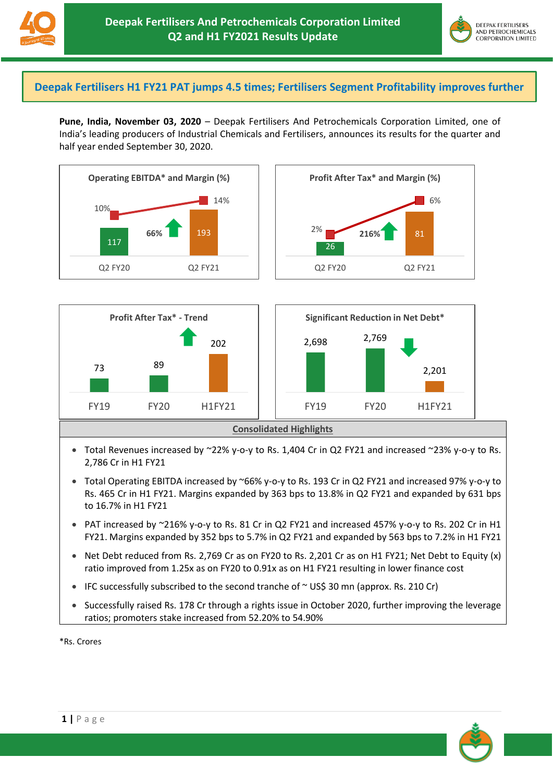



## **Deepak Fertilisers H1 FY21 PAT jumps 4.5 times; Fertilisers Segment Profitability improves further**

**Pune, India, November 03, 2020** – Deepak Fertilisers And Petrochemicals Corporation Limited, one of India's leading producers of Industrial Chemicals and Fertilisers, announces its results for the quarter and half year ended September 30, 2020.





- Total Revenues increased by  $\approx$  22% y-o-y to Rs. 1,404 Cr in Q2 FY21 and increased  $\approx$  23% y-o-y to Rs. 2,786 Cr in H1 FY21
- Total Operating EBITDA increased by ~66% y-o-y to Rs. 193 Cr in Q2 FY21 and increased 97% y-o-y to Rs. 465 Cr in H1 FY21. Margins expanded by 363 bps to 13.8% in Q2 FY21 and expanded by 631 bps to 16.7% in H1 FY21
- PAT increased by ~216% y-o-y to Rs. 81 Cr in Q2 FY21 and increased 457% y-o-y to Rs. 202 Cr in H1 FY21. Margins expanded by 352 bps to 5.7% in Q2 FY21 and expanded by 563 bps to 7.2% in H1 FY21
- Net Debt reduced from Rs. 2,769 Cr as on FY20 to Rs. 2,201 Cr as on H1 FY21; Net Debt to Equity (x) ratio improved from 1.25x as on FY20 to 0.91x as on H1 FY21 resulting in lower finance cost
- IFC successfully subscribed to the second tranche of  $\sim$  US\$ 30 mn (approx. Rs. 210 Cr)
- Successfully raised Rs. 178 Cr through a rights issue in October 2020, further improving the leverage ratios; promoters stake increased from 52.20% to 54.90%

\*Rs. Crores

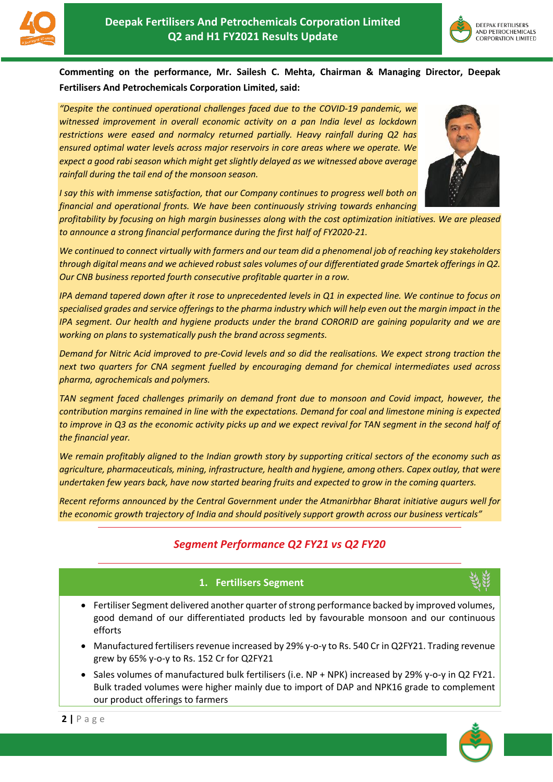



**Commenting on the performance, Mr. Sailesh C. Mehta, Chairman & Managing Director, Deepak Fertilisers And Petrochemicals Corporation Limited, said:**

*"Despite the continued operational challenges faced due to the COVID-19 pandemic, we witnessed improvement in overall economic activity on a pan India level as lockdown restrictions were eased and normalcy returned partially. Heavy rainfall during Q2 has ensured optimal water levels across major reservoirs in core areas where we operate. We expect a good rabi season which might get slightly delayed as we witnessed above average rainfall during the tail end of the monsoon season.* 



*I say this with immense satisfaction, that our Company continues to progress well both on financial and operational fronts. We have been continuously striving towards enhancing* 

*profitability by focusing on high margin businesses along with the cost optimization initiatives. We are pleased to announce a strong financial performance during the first half of FY2020-21.*

*We continued to connect virtually with farmers and our team did a phenomenal job of reaching key stakeholders through digital means and we achieved robust sales volumes of our differentiated grade Smartek offerings in Q2. Our CNB business reported fourth consecutive profitable quarter in a row.* 

*IPA demand tapered down after it rose to unprecedented levels in Q1 in expected line. We continue to focus on specialised grades and service offerings to the pharma industry which will help even out the margin impact in the IPA segment. Our health and hygiene products under the brand CORORID are gaining popularity and we are working on plans to systematically push the brand across segments.* 

*Demand for Nitric Acid improved to pre-Covid levels and so did the realisations. We expect strong traction the next two quarters for CNA segment fuelled by encouraging demand for chemical intermediates used across pharma, agrochemicals and polymers.* 

*TAN segment faced challenges primarily on demand front due to monsoon and Covid impact, however, the contribution margins remained in line with the expectations. Demand for coal and limestone mining is expected*  to improve in Q3 as the economic activity picks up and we expect revival for TAN segment in the second half of *the financial year.*

*We remain profitably aligned to the Indian growth story by supporting critical sectors of the economy such as agriculture, pharmaceuticals, mining, infrastructure, health and hygiene, among others. Capex outlay, that were undertaken few years back, have now started bearing fruits and expected to grow in the coming quarters.*

*Recent reforms announced by the Central Government under the Atmanirbhar Bharat initiative augurs well for the economic growth trajectory of India and should positively support growth across our business verticals"* 

# *Segment Performance Q2 FY21 vs Q2 FY20*

## **1. Fertilisers Segment**

- Fertiliser Segment delivered another quarter of strong performance backed by improved volumes, good demand of our differentiated products led by favourable monsoon and our continuous efforts
- Manufactured fertilisers revenue increased by 29% y-o-y to Rs. 540 Cr in Q2FY21. Trading revenue grew by 65% y-o-y to Rs. 152 Cr for Q2FY21
- Sales volumes of manufactured bulk fertilisers (i.e. NP + NPK) increased by 29% y-o-y in Q2 FY21. Bulk traded volumes were higher mainly due to import of DAP and NPK16 grade to complement our product offerings to farmers

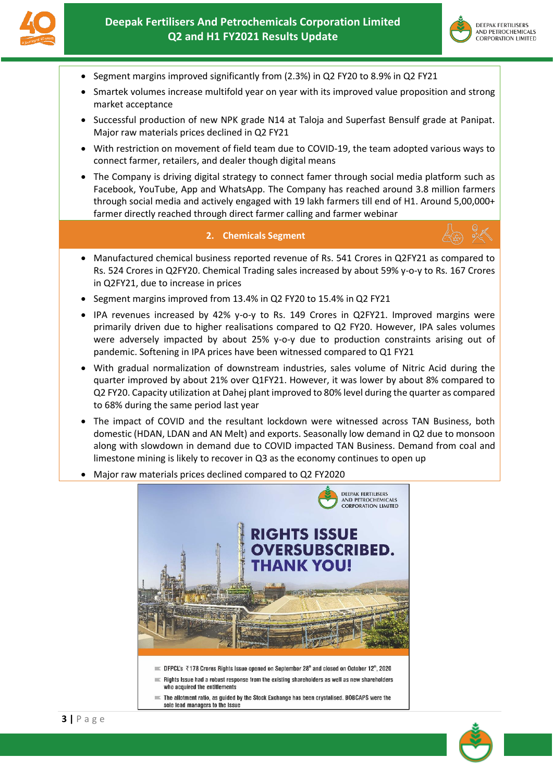



- Segment margins improved significantly from (2.3%) in Q2 FY20 to 8.9% in Q2 FY21
- Smartek volumes increase multifold year on year with its improved value proposition and strong market acceptance
- Successful production of new NPK grade N14 at Taloja and Superfast Bensulf grade at Panipat. Major raw materials prices declined in Q2 FY21
- With restriction on movement of field team due to COVID-19, the team adopted various ways to connect farmer, retailers, and dealer though digital means
- The Company is driving digital strategy to connect famer through social media platform such as Facebook, YouTube, App and WhatsApp. The Company has reached around 3.8 million farmers through social media and actively engaged with 19 lakh farmers till end of H1. Around 5,00,000+ farmer directly reached through direct farmer calling and farmer webinar

### **2. Chemicals Segment**

- Manufactured chemical business reported revenue of Rs. 541 Crores in Q2FY21 as compared to Rs. 524 Crores in Q2FY20. Chemical Trading sales increased by about 59% y-o-y to Rs. 167 Crores in Q2FY21, due to increase in prices
- Segment margins improved from 13.4% in Q2 FY20 to 15.4% in Q2 FY21
- IPA revenues increased by 42% y-o-y to Rs. 149 Crores in Q2FY21. Improved margins were primarily driven due to higher realisations compared to Q2 FY20. However, IPA sales volumes were adversely impacted by about 25% y-o-y due to production constraints arising out of pandemic. Softening in IPA prices have been witnessed compared to Q1 FY21
- With gradual normalization of downstream industries, sales volume of Nitric Acid during the quarter improved by about 21% over Q1FY21. However, it was lower by about 8% compared to Q2 FY20. Capacity utilization at Dahej plant improved to 80% level during the quarter as compared to 68% during the same period last year
- The impact of COVID and the resultant lockdown were witnessed across TAN Business, both domestic (HDAN, LDAN and AN Melt) and exports. Seasonally low demand in Q2 due to monsoon along with slowdown in demand due to COVID impacted TAN Business. Demand from coal and limestone mining is likely to recover in Q3 as the economy continues to open up
- Major raw materials prices declined compared to Q2 FY2020



- 
- Rights Issue had a robust response from the existing shareholders as well as new shareholders who acquired the entitlements
- $\equiv$  The allotment ratio, as guided by the Stock Exchange has been crystalised. BOBCAPS were the sole lead managers to the Issue